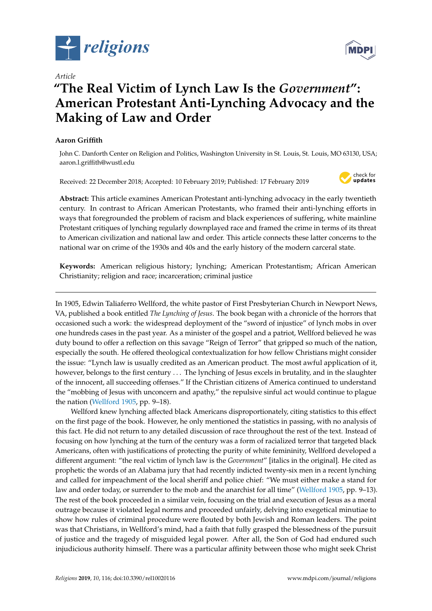

*Article*

# **"The Real Victim of Lynch Law Is the** *Government***": American Protestant Anti-Lynching Advocacy and the Making of Law and Order**

# **Aaron Griffith**

John C. Danforth Center on Religion and Politics, Washington University in St. Louis, St. Louis, MO 63130, USA; aaron.l.griffith@wustl.edu

Received: 22 December 2018; Accepted: 10 February 2019; Published: 17 February 2019



**Abstract:** This article examines American Protestant anti-lynching advocacy in the early twentieth century. In contrast to African American Protestants, who framed their anti-lynching efforts in ways that foregrounded the problem of racism and black experiences of suffering, white mainline Protestant critiques of lynching regularly downplayed race and framed the crime in terms of its threat to American civilization and national law and order. This article connects these latter concerns to the national war on crime of the 1930s and 40s and the early history of the modern carceral state.

**Keywords:** American religious history; lynching; American Protestantism; African American Christianity; religion and race; incarceration; criminal justice

In 1905, Edwin Taliaferro Wellford, the white pastor of First Presbyterian Church in Newport News, VA, published a book entitled *The Lynching of Jesus*. The book began with a chronicle of the horrors that occasioned such a work: the widespread deployment of the "sword of injustice" of lynch mobs in over one hundreds cases in the past year. As a minister of the gospel and a patriot, Wellford believed he was duty bound to offer a reflection on this savage "Reign of Terror" that gripped so much of the nation, especially the south. He offered theological contextualization for how fellow Christians might consider the issue: "Lynch law is usually credited as an American product. The most awful application of it, however, belongs to the first century . . . The lynching of Jesus excels in brutality, and in the slaughter of the innocent, all succeeding offenses." If the Christian citizens of America continued to understand the "mobbing of Jesus with unconcern and apathy," the repulsive sinful act would continue to plague the nation [\(Wellford](#page-17-0) [1905,](#page-17-0) pp. 9–18).

Wellford knew lynching affected black Americans disproportionately, citing statistics to this effect on the first page of the book. However, he only mentioned the statistics in passing, with no analysis of this fact. He did not return to any detailed discussion of race throughout the rest of the text. Instead of focusing on how lynching at the turn of the century was a form of racialized terror that targeted black Americans, often with justifications of protecting the purity of white femininity, Wellford developed a different argument: "the real victim of lynch law is the *Government*" [italics in the original]. He cited as prophetic the words of an Alabama jury that had recently indicted twenty-six men in a recent lynching and called for impeachment of the local sheriff and police chief: "We must either make a stand for law and order today, or surrender to the mob and the anarchist for all time" [\(Wellford](#page-17-0) [1905,](#page-17-0) pp. 9–13). The rest of the book proceeded in a similar vein, focusing on the trial and execution of Jesus as a moral outrage because it violated legal norms and proceeded unfairly, delving into exegetical minutiae to show how rules of criminal procedure were flouted by both Jewish and Roman leaders. The point was that Christians, in Wellford's mind, had a faith that fully grasped the blessedness of the pursuit of justice and the tragedy of misguided legal power. After all, the Son of God had endured such injudicious authority himself. There was a particular affinity between those who might seek Christ

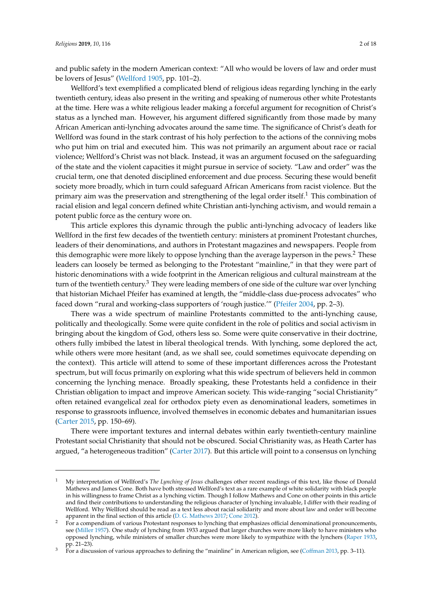and public safety in the modern American context: "All who would be lovers of law and order must be lovers of Jesus" [\(Wellford](#page-17-0) [1905,](#page-17-0) pp. 101–2).

Wellford's text exemplified a complicated blend of religious ideas regarding lynching in the early twentieth century, ideas also present in the writing and speaking of numerous other white Protestants at the time. Here was a white religious leader making a forceful argument for recognition of Christ's status as a lynched man. However, his argument differed significantly from those made by many African American anti-lynching advocates around the same time. The significance of Christ's death for Wellford was found in the stark contrast of his holy perfection to the actions of the conniving mobs who put him on trial and executed him. This was not primarily an argument about race or racial violence; Wellford's Christ was not black. Instead, it was an argument focused on the safeguarding of the state and the violent capacities it might pursue in service of society. "Law and order" was the crucial term, one that denoted disciplined enforcement and due process. Securing these would benefit society more broadly, which in turn could safeguard African Americans from racist violence. But the primary aim was the preservation and strengthening of the legal order itself.<sup>1</sup> This combination of racial elision and legal concern defined white Christian anti-lynching activism, and would remain a potent public force as the century wore on.

This article explores this dynamic through the public anti-lynching advocacy of leaders like Wellford in the first few decades of the twentieth century: ministers at prominent Protestant churches, leaders of their denominations, and authors in Protestant magazines and newspapers. People from this demographic were more likely to oppose lynching than the average layperson in the pews.<sup>2</sup> These leaders can loosely be termed as belonging to the Protestant "mainline," in that they were part of historic denominations with a wide footprint in the American religious and cultural mainstream at the turn of the twentieth century.<sup>3</sup> They were leading members of one side of the culture war over lynching that historian Michael Pfeifer has examined at length, the "middle-class due-process advocates" who faced down "rural and working-class supporters of 'rough justice.'" [\(Pfeifer](#page-16-0) [2004,](#page-16-0) pp. 2–3).

There was a wide spectrum of mainline Protestants committed to the anti-lynching cause, politically and theologically. Some were quite confident in the role of politics and social activism in bringing about the kingdom of God, others less so. Some were quite conservative in their doctrine, others fully imbibed the latest in liberal theological trends. With lynching, some deplored the act, while others were more hesitant (and, as we shall see, could sometimes equivocate depending on the context). This article will attend to some of these important differences across the Protestant spectrum, but will focus primarily on exploring what this wide spectrum of believers held in common concerning the lynching menace. Broadly speaking, these Protestants held a confidence in their Christian obligation to impact and improve American society. This wide-ranging "social Christianity" often retained evangelical zeal for orthodox piety even as denominational leaders, sometimes in response to grassroots influence, involved themselves in economic debates and humanitarian issues [\(Carter](#page-15-0) [2015,](#page-15-0) pp. 150–69).

There were important textures and internal debates within early twentieth-century mainline Protestant social Christianity that should not be obscured. Social Christianity was, as Heath Carter has argued, "a heterogeneous tradition" [\(Carter](#page-15-1) [2017\)](#page-15-1). But this article will point to a consensus on lynching

<sup>1</sup> My interpretation of Wellford's *The Lynching of Jesus* challenges other recent readings of this text, like those of Donald Mathews and James Cone. Both have both stressed Wellford's text as a rare example of white solidarity with black people in his willingness to frame Christ as a lynching victim. Though I follow Mathews and Cone on other points in this article and find their contributions to understanding the religious character of lynching invaluable, I differ with their reading of Wellford. Why Wellford should be read as a text less about racial solidarity and more about law and order will become apparent in the final section of this article [\(D. G. Mathews](#page-16-1) [2017;](#page-16-1) [Cone](#page-15-2) [2012\)](#page-15-2).

<sup>&</sup>lt;sup>2</sup> For a compendium of various Protestant responses to lynching that emphasizes official denominational pronouncements, see [\(Miller](#page-16-2) [1957\)](#page-16-2). One study of lynching from 1933 argued that larger churches were more likely to have ministers who opposed lynching, while ministers of smaller churches were more likely to sympathize with the lynchers [\(Raper](#page-16-3) [1933,](#page-16-3) pp. 21–23).

<sup>3</sup> For a discussion of various approaches to defining the "mainline" in American religion, see [\(Coffman](#page-15-3) [2013,](#page-15-3) pp. 3–11).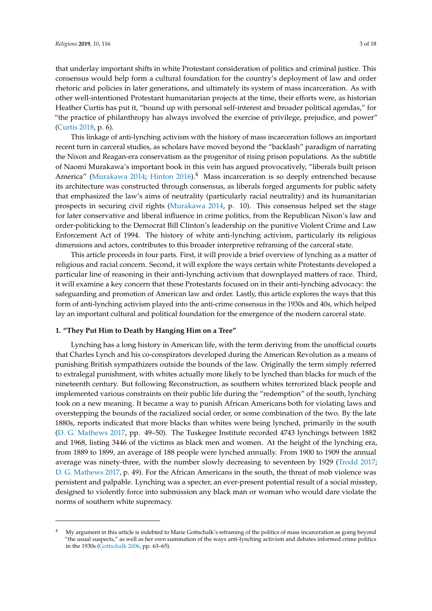that underlay important shifts in white Protestant consideration of politics and criminal justice. This consensus would help form a cultural foundation for the country's deployment of law and order rhetoric and policies in later generations, and ultimately its system of mass incarceration. As with other well-intentioned Protestant humanitarian projects at the time, their efforts were, as historian Heather Curtis has put it, "bound up with personal self-interest and broader political agendas," for "the practice of philanthropy has always involved the exercise of privilege, prejudice, and power" [\(Curtis](#page-15-4) [2018,](#page-15-4) p. 6).

This linkage of anti-lynching activism with the history of mass incarceration follows an important recent turn in carceral studies, as scholars have moved beyond the "backlash" paradigm of narrating the Nixon and Reagan-era conservatism as the progenitor of rising prison populations. As the subtitle of Naomi Murakawa's important book in this vein has argued provocatively, "liberals built prison America" [\(Murakawa](#page-16-4) [2014;](#page-16-4) [Hinton](#page-16-5) [2016\)](#page-16-5).<sup>4</sup> Mass incarceration is so deeply entrenched because its architecture was constructed through consensus, as liberals forged arguments for public safety that emphasized the law's aims of neutrality (particularly racial neutrality) and its humanitarian prospects in securing civil rights [\(Murakawa](#page-16-4) [2014,](#page-16-4) p. 10). This consensus helped set the stage for later conservative and liberal influence in crime politics, from the Republican Nixon's law and order-politicking to the Democrat Bill Clinton's leadership on the punitive Violent Crime and Law Enforcement Act of 1994. The history of white anti-lynching activism, particularly its religious dimensions and actors, contributes to this broader interpretive reframing of the carceral state.

This article proceeds in four parts. First, it will provide a brief overview of lynching as a matter of religious and racial concern. Second, it will explore the ways certain white Protestants developed a particular line of reasoning in their anti-lynching activism that downplayed matters of race. Third, it will examine a key concern that these Protestants focused on in their anti-lynching advocacy: the safeguarding and promotion of American law and order. Lastly, this article explores the ways that this form of anti-lynching activism played into the anti-crime consensus in the 1930s and 40s, which helped lay an important cultural and political foundation for the emergence of the modern carceral state.

### **1. "They Put Him to Death by Hanging Him on a Tree"**

Lynching has a long history in American life, with the term deriving from the unofficial courts that Charles Lynch and his co-conspirators developed during the American Revolution as a means of punishing British sympathizers outside the bounds of the law. Originally the term simply referred to extralegal punishment, with whites actually more likely to be lynched than blacks for much of the nineteenth century. But following Reconstruction, as southern whites terrorized black people and implemented various constraints on their public life during the "redemption" of the south, lynching took on a new meaning. It became a way to punish African Americans both for violating laws and overstepping the bounds of the racialized social order, or some combination of the two. By the late 1880s, reports indicated that more blacks than whites were being lynched, primarily in the south [\(D. G. Mathews](#page-16-1) [2017,](#page-16-1) pp. 49–50). The Tuskegee Institute recorded 4743 lynchings between 1882 and 1968, listing 3446 of the victims as black men and women. At the height of the lynching era, from 1889 to 1899, an average of 188 people were lynched annually. From 1900 to 1909 the annual average was ninety-three, with the number slowly decreasing to seventeen by 1929 [\(Trodd](#page-17-1) [2017;](#page-17-1) [D. G. Mathews](#page-16-1) [2017,](#page-16-1) p. 49). For the African Americans in the south, the threat of mob violence was persistent and palpable. Lynching was a specter, an ever-present potential result of a social misstep, designed to violently force into submission any black man or woman who would dare violate the norms of southern white supremacy.

<sup>&</sup>lt;sup>4</sup> My argument in this article is indebted to Marie Gottschalk's reframing of the politics of mass incarceration as going beyond "the usual suspects," as well as her own summation of the ways anti-lynching activism and debates informed crime politics in the 1930s [\(Gottschalk](#page-15-5) [2006,](#page-15-5) pp. 63–65).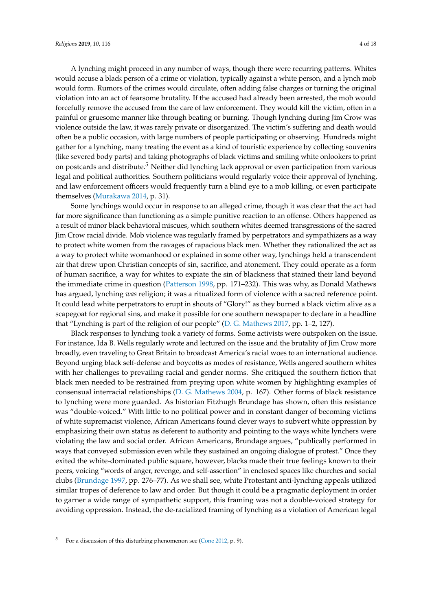A lynching might proceed in any number of ways, though there were recurring patterns. Whites would accuse a black person of a crime or violation, typically against a white person, and a lynch mob would form. Rumors of the crimes would circulate, often adding false charges or turning the original violation into an act of fearsome brutality. If the accused had already been arrested, the mob would forcefully remove the accused from the care of law enforcement. They would kill the victim, often in a painful or gruesome manner like through beating or burning. Though lynching during Jim Crow was violence outside the law, it was rarely private or disorganized. The victim's suffering and death would often be a public occasion, with large numbers of people participating or observing. Hundreds might gather for a lynching, many treating the event as a kind of touristic experience by collecting souvenirs (like severed body parts) and taking photographs of black victims and smiling white onlookers to print on postcards and distribute.<sup>5</sup> Neither did lynching lack approval or even participation from various legal and political authorities. Southern politicians would regularly voice their approval of lynching, and law enforcement officers would frequently turn a blind eye to a mob killing, or even participate themselves [\(Murakawa](#page-16-4) [2014,](#page-16-4) p. 31).

Some lynchings would occur in response to an alleged crime, though it was clear that the act had far more significance than functioning as a simple punitive reaction to an offense. Others happened as a result of minor black behavioral miscues, which southern whites deemed transgressions of the sacred Jim Crow racial divide. Mob violence was regularly framed by perpetrators and sympathizers as a way to protect white women from the ravages of rapacious black men. Whether they rationalized the act as a way to protect white womanhood or explained in some other way, lynchings held a transcendent air that drew upon Christian concepts of sin, sacrifice, and atonement. They could operate as a form of human sacrifice, a way for whites to expiate the sin of blackness that stained their land beyond the immediate crime in question [\(Patterson](#page-16-6) [1998,](#page-16-6) pp. 171–232). This was why, as Donald Mathews has argued, lynching *was* religion; it was a ritualized form of violence with a sacred reference point. It could lead white perpetrators to erupt in shouts of "Glory!" as they burned a black victim alive as a scapegoat for regional sins, and make it possible for one southern newspaper to declare in a headline that "Lynching is part of the religion of our people" [\(D. G. Mathews](#page-16-1) [2017,](#page-16-1) pp. 1–2, 127).

Black responses to lynching took a variety of forms. Some activists were outspoken on the issue. For instance, Ida B. Wells regularly wrote and lectured on the issue and the brutality of Jim Crow more broadly, even traveling to Great Britain to broadcast America's racial woes to an international audience. Beyond urging black self-defense and boycotts as modes of resistance, Wells angered southern whites with her challenges to prevailing racial and gender norms. She critiqued the southern fiction that black men needed to be restrained from preying upon white women by highlighting examples of consensual interracial relationships [\(D. G. Mathews](#page-16-7) [2004,](#page-16-7) p. 167). Other forms of black resistance to lynching were more guarded. As historian Fitzhugh Brundage has shown, often this resistance was "double-voiced." With little to no political power and in constant danger of becoming victims of white supremacist violence, African Americans found clever ways to subvert white oppression by emphasizing their own status as deferent to authority and pointing to the ways white lynchers were violating the law and social order. African Americans, Brundage argues, "publically performed in ways that conveyed submission even while they sustained an ongoing dialogue of protest." Once they exited the white-dominated public square, however, blacks made their true feelings known to their peers, voicing "words of anger, revenge, and self-assertion" in enclosed spaces like churches and social clubs [\(Brundage](#page-15-6) [1997,](#page-15-6) pp. 276–77). As we shall see, white Protestant anti-lynching appeals utilized similar tropes of deference to law and order. But though it could be a pragmatic deployment in order to garner a wide range of sympathetic support, this framing was not a double-voiced strategy for avoiding oppression. Instead, the de-racialized framing of lynching as a violation of American legal

<sup>&</sup>lt;sup>5</sup> For a discussion of this disturbing phenomenon see [\(Cone](#page-15-2) [2012,](#page-15-2) p. 9).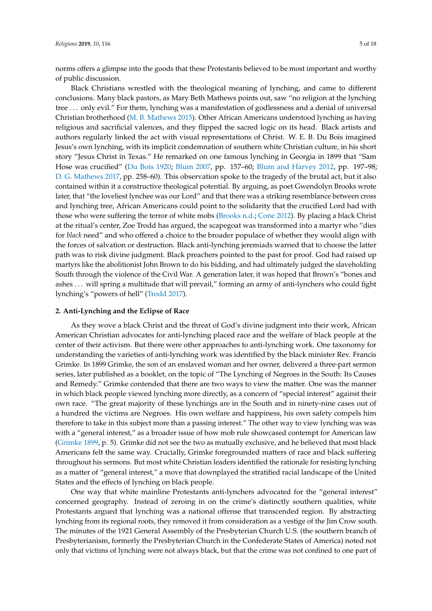norms offers a glimpse into the goods that these Protestants believed to be most important and worthy of public discussion.

Black Christians wrestled with the theological meaning of lynching, and came to different conclusions. Many black pastors, as Mary Beth Mathews points out, saw "no religion at the lynching tree . . . only evil." For them, lynching was a manifestation of godlessness and a denial of universal Christian brotherhood [\(M. B. Mathews](#page-16-8) [2015\)](#page-16-8). Other African Americans understood lynching as having religious and sacrificial valences, and they flipped the sacred logic on its head. Black artists and authors regularly linked the act with visual representations of Christ. W. E. B. Du Bois imagined Jesus's own lynching, with its implicit condemnation of southern white Christian culture, in his short story "Jesus Christ in Texas." He remarked on one famous lynching in Georgia in 1899 that "Sam Hose was crucified" [\(Du Bois](#page-15-7) [1920;](#page-15-7) [Blum](#page-15-8) [2007,](#page-15-8) pp. 157–60; [Blum and Harvey](#page-15-9) [2012,](#page-15-9) pp. 197–98; [D. G. Mathews](#page-16-1) [2017,](#page-16-1) pp. 258–60). This observation spoke to the tragedy of the brutal act, but it also contained within it a constructive theological potential. By arguing, as poet Gwendolyn Brooks wrote later, that "the loveliest lynchee was our Lord" and that there was a striking resemblance between cross and lynching tree, African Americans could point to the solidarity that the crucified Lord had with those who were suffering the terror of white mobs [\(Brooks](#page-15-10) [n.d.;](#page-15-10) [Cone](#page-15-2) [2012\)](#page-15-2). By placing a black Christ at the ritual's center, Zoe Trodd has argued, the scapegoat was transformed into a martyr who "dies for *black* need" and who offered a choice to the broader populace of whether they would align with the forces of salvation or destruction. Black anti-lynching jeremiads warned that to choose the latter path was to risk divine judgment. Black preachers pointed to the past for proof. God had raised up martyrs like the abolitionist John Brown to do his bidding, and had ultimately judged the slaveholding South through the violence of the Civil War. A generation later, it was hoped that Brown's "bones and ashes . . . will spring a multitude that will prevail," forming an army of anti-lynchers who could fight lynching's "powers of hell" [\(Trodd](#page-17-1) [2017\)](#page-17-1).

#### **2. Anti-Lynching and the Eclipse of Race**

As they wove a black Christ and the threat of God's divine judgment into their work, African American Christian advocates for anti-lynching placed race and the welfare of black people at the center of their activism. But there were other approaches to anti-lynching work. One taxonomy for understanding the varieties of anti-lynching work was identified by the black minister Rev. Francis Grimke. In 1899 Grimke, the son of an enslaved woman and her owner, delivered a three-part sermon series, later published as a booklet, on the topic of "The Lynching of Negroes in the South: Its Causes and Remedy." Grimke contended that there are two ways to view the matter. One was the manner in which black people viewed lynching more directly, as a concern of "special interest" against their own race. "The great majority of these lynchings are in the South and in ninety-nine cases out of a hundred the victims are Negroes. His own welfare and happiness, his own safety compels him therefore to take in this subject more than a passing interest." The other way to view lynching was was with a "general interest," as a broader issue of how mob rule showcased contempt for American law [\(Grimke](#page-15-11) [1899,](#page-15-11) p. 5). Grimke did not see the two as mutually exclusive, and he believed that most black Americans felt the same way. Crucially, Grimke foregrounded matters of race and black suffering throughout his sermons. But most white Christian leaders identified the rationale for resisting lynching as a matter of "general interest," a move that downplayed the stratified racial landscape of the United States and the effects of lynching on black people.

One way that white mainline Protestants anti-lynchers advocated for the "general interest" concerned geography. Instead of zeroing in on the crime's distinctly southern qualities, white Protestants argued that lynching was a national offense that transcended region. By abstracting lynching from its regional roots, they removed it from consideration as a vestige of the Jim Crow south. The minutes of the 1921 General Assembly of the Presbyterian Church U.S. (the southern branch of Presbyterianism, formerly the Presbyterian Church in the Confederate States of America) noted not only that victims of lynching were not always black, but that the crime was not confined to one part of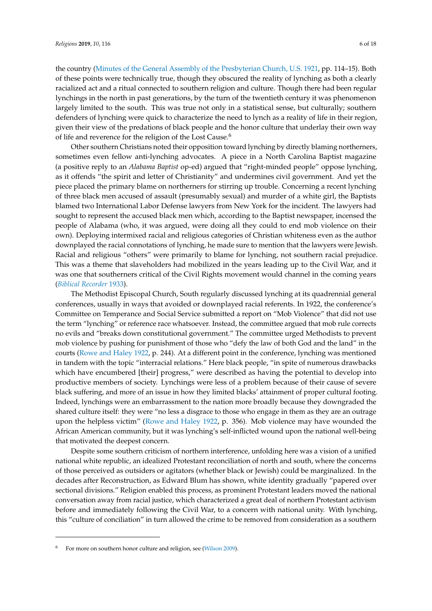the country [\(Minutes of the General Assembly of the Presbyterian Church, U.S.](#page-16-9) [1921,](#page-16-9) pp. 114–15). Both of these points were technically true, though they obscured the reality of lynching as both a clearly racialized act and a ritual connected to southern religion and culture. Though there had been regular lynchings in the north in past generations, by the turn of the twentieth century it was phenomenon largely limited to the south. This was true not only in a statistical sense, but culturally; southern defenders of lynching were quick to characterize the need to lynch as a reality of life in their region, given their view of the predations of black people and the honor culture that underlay their own way of life and reverence for the religion of the Lost Cause.<sup>6</sup>

Other southern Christians noted their opposition toward lynching by directly blaming northerners, sometimes even fellow anti-lynching advocates. A piece in a North Carolina Baptist magazine (a positive reply to an *Alabama Baptist* op-ed) argued that "right-minded people" oppose lynching, as it offends "the spirit and letter of Christianity" and undermines civil government. And yet the piece placed the primary blame on northerners for stirring up trouble. Concerning a recent lynching of three black men accused of assault (presumably sexual) and murder of a white girl, the Baptists blamed two International Labor Defense lawyers from New York for the incident. The lawyers had sought to represent the accused black men which, according to the Baptist newspaper, incensed the people of Alabama (who, it was argued, were doing all they could to end mob violence on their own). Deploying intermixed racial and religious categories of Christian whiteness even as the author downplayed the racial connotations of lynching, he made sure to mention that the lawyers were Jewish. Racial and religious "others" were primarily to blame for lynching, not southern racial prejudice. This was a theme that slaveholders had mobilized in the years leading up to the Civil War, and it was one that southerners critical of the Civil Rights movement would channel in the coming years (*[Biblical Recorder](#page-14-0)* [1933\)](#page-14-0).

The Methodist Episcopal Church, South regularly discussed lynching at its quadrennial general conferences, usually in ways that avoided or downplayed racial referents. In 1922, the conference's Committee on Temperance and Social Service submitted a report on "Mob Violence" that did not use the term "lynching" or reference race whatsoever. Instead, the committee argued that mob rule corrects no evils and "breaks down constitutional government." The committee urged Methodists to prevent mob violence by pushing for punishment of those who "defy the law of both God and the land" in the courts [\(Rowe and Haley](#page-16-10) [1922,](#page-16-10) p. 244). At a different point in the conference, lynching was mentioned in tandem with the topic "interracial relations." Here black people, "in spite of numerous drawbacks which have encumbered [their] progress," were described as having the potential to develop into productive members of society. Lynchings were less of a problem because of their cause of severe black suffering, and more of an issue in how they limited blacks' attainment of proper cultural footing. Indeed, lynchings were an embarrassment to the nation more broadly because they downgraded the shared culture itself: they were "no less a disgrace to those who engage in them as they are an outrage upon the helpless victim" [\(Rowe and Haley](#page-16-10) [1922,](#page-16-10) p. 356). Mob violence may have wounded the African American community, but it was lynching's self-inflicted wound upon the national well-being that motivated the deepest concern.

Despite some southern criticism of northern interference, unfolding here was a vision of a unified national white republic, an idealized Protestant reconciliation of north and south, where the concerns of those perceived as outsiders or agitators (whether black or Jewish) could be marginalized. In the decades after Reconstruction, as Edward Blum has shown, white identity gradually "papered over sectional divisions." Religion enabled this process, as prominent Protestant leaders moved the national conversation away from racial justice, which characterized a great deal of northern Protestant activism before and immediately following the Civil War, to a concern with national unity. With lynching, this "culture of conciliation" in turn allowed the crime to be removed from consideration as a southern

For more on southern honor culture and religion, see [\(Wilson](#page-17-2) [2009\)](#page-17-2).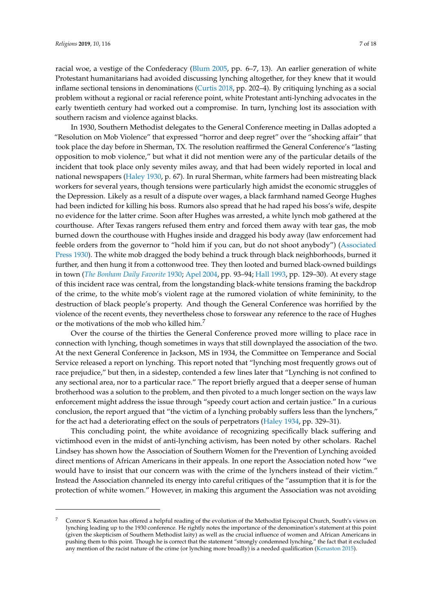racial woe, a vestige of the Confederacy [\(Blum](#page-14-1) [2005,](#page-14-1) pp. 6–7, 13). An earlier generation of white Protestant humanitarians had avoided discussing lynching altogether, for they knew that it would inflame sectional tensions in denominations [\(Curtis](#page-15-4) [2018,](#page-15-4) pp. 202–4). By critiquing lynching as a social problem without a regional or racial reference point, white Protestant anti-lynching advocates in the early twentieth century had worked out a compromise. In turn, lynching lost its association with southern racism and violence against blacks.

In 1930, Southern Methodist delegates to the General Conference meeting in Dallas adopted a "Resolution on Mob Violence" that expressed "horror and deep regret" over the "shocking affair" that took place the day before in Sherman, TX. The resolution reaffirmed the General Conference's "lasting opposition to mob violence," but what it did not mention were any of the particular details of the incident that took place only seventy miles away, and that had been widely reported in local and national newspapers [\(Haley](#page-16-11) [1930,](#page-16-11) p. 67). In rural Sherman, white farmers had been mistreating black workers for several years, though tensions were particularly high amidst the economic struggles of the Depression. Likely as a result of a dispute over wages, a black farmhand named George Hughes had been indicted for killing his boss. Rumors also spread that he had raped his boss's wife, despite no evidence for the latter crime. Soon after Hughes was arrested, a white lynch mob gathered at the courthouse. After Texas rangers refused them entry and forced them away with tear gas, the mob burned down the courthouse with Hughes inside and dragged his body away (law enforcement had feeble orders from the governor to "hold him if you can, but do not shoot anybody") [\(Associated](#page-14-2) [Press](#page-14-2) [1930\)](#page-14-2). The white mob dragged the body behind a truck through black neighborhoods, burned it further, and then hung it from a cottonwood tree. They then looted and burned black-owned buildings in town (*[The Bonham Daily Favorite](#page-17-3)* [1930;](#page-17-3) [Apel](#page-14-3) [2004,](#page-14-3) pp. 93–94; [Hall](#page-16-12) [1993,](#page-16-12) pp. 129–30). At every stage of this incident race was central, from the longstanding black-white tensions framing the backdrop of the crime, to the white mob's violent rage at the rumored violation of white femininity, to the destruction of black people's property. And though the General Conference was horrified by the violence of the recent events, they nevertheless chose to forswear any reference to the race of Hughes or the motivations of the mob who killed him.<sup>7</sup>

Over the course of the thirties the General Conference proved more willing to place race in connection with lynching, though sometimes in ways that still downplayed the association of the two. At the next General Conference in Jackson, MS in 1934, the Committee on Temperance and Social Service released a report on lynching. This report noted that "lynching most frequently grows out of race prejudice," but then, in a sidestep, contended a few lines later that "Lynching is not confined to any sectional area, nor to a particular race." The report briefly argued that a deeper sense of human brotherhood was a solution to the problem, and then pivoted to a much longer section on the ways law enforcement might address the issue through "speedy court action and certain justice." In a curious conclusion, the report argued that "the victim of a lynching probably suffers less than the lynchers," for the act had a deteriorating effect on the souls of perpetrators [\(Haley](#page-16-13) [1934,](#page-16-13) pp. 329–31).

This concluding point, the white avoidance of recognizing specifically black suffering and victimhood even in the midst of anti-lynching activism, has been noted by other scholars. Rachel Lindsey has shown how the Association of Southern Women for the Prevention of Lynching avoided direct mentions of African Americans in their appeals. In one report the Association noted how "we would have to insist that our concern was with the crime of the lynchers instead of their victim." Instead the Association channeled its energy into careful critiques of the "assumption that it is for the protection of white women." However, in making this argument the Association was not avoiding

<sup>7</sup> Connor S. Kenaston has offered a helpful reading of the evolution of the Methodist Episcopal Church, South's views on lynching leading up to the 1930 conference. He rightly notes the importance of the denomination's statement at this point (given the skepticism of Southern Methodist laity) as well as the crucial influence of women and African Americans in pushing them to this point. Though he is correct that the statement "strongly condemned lynching," the fact that it excluded any mention of the racist nature of the crime (or lynching more broadly) is a needed qualification [\(Kenaston](#page-16-14) [2015\)](#page-16-14).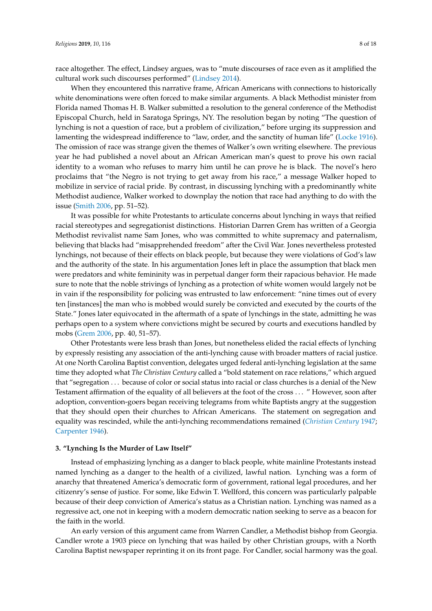race altogether. The effect, Lindsey argues, was to "mute discourses of race even as it amplified the cultural work such discourses performed" [\(Lindsey](#page-16-15) [2014\)](#page-16-15).

When they encountered this narrative frame, African Americans with connections to historically white denominations were often forced to make similar arguments. A black Methodist minister from Florida named Thomas H. B. Walker submitted a resolution to the general conference of the Methodist Episcopal Church, held in Saratoga Springs, NY. The resolution began by noting "The question of lynching is not a question of race, but a problem of civilization," before urging its suppression and lamenting the widespread indifference to "law, order, and the sanctity of human life" [\(Locke](#page-16-16) [1916\)](#page-16-16). The omission of race was strange given the themes of Walker's own writing elsewhere. The previous year he had published a novel about an African American man's quest to prove his own racial identity to a woman who refuses to marry him until he can prove he is black. The novel's hero proclaims that "the Negro is not trying to get away from his race," a message Walker hoped to mobilize in service of racial pride. By contrast, in discussing lynching with a predominantly white Methodist audience, Walker worked to downplay the notion that race had anything to do with the issue [\(Smith](#page-17-4) [2006,](#page-17-4) pp. 51–52).

It was possible for white Protestants to articulate concerns about lynching in ways that reified racial stereotypes and segregationist distinctions. Historian Darren Grem has written of a Georgia Methodist revivalist name Sam Jones, who was committed to white supremacy and paternalism, believing that blacks had "misapprehended freedom" after the Civil War. Jones nevertheless protested lynchings, not because of their effects on black people, but because they were violations of God's law and the authority of the state. In his argumentation Jones left in place the assumption that black men were predators and white femininity was in perpetual danger form their rapacious behavior. He made sure to note that the noble strivings of lynching as a protection of white women would largely not be in vain if the responsibility for policing was entrusted to law enforcement: "nine times out of every ten [instances] the man who is mobbed would surely be convicted and executed by the courts of the State." Jones later equivocated in the aftermath of a spate of lynchings in the state, admitting he was perhaps open to a system where convictions might be secured by courts and executions handled by mobs [\(Grem](#page-15-12) [2006,](#page-15-12) pp. 40, 51–57).

Other Protestants were less brash than Jones, but nonetheless elided the racial effects of lynching by expressly resisting any association of the anti-lynching cause with broader matters of racial justice. At one North Carolina Baptist convention, delegates urged federal anti-lynching legislation at the same time they adopted what *The Christian Century* called a "bold statement on race relations," which argued that "segregation . . . because of color or social status into racial or class churches is a denial of the New Testament affirmation of the equality of all believers at the foot of the cross . . . " However, soon after adoption, convention-goers began receiving telegrams from white Baptists angry at the suggestion that they should open their churches to African Americans. The statement on segregation and equality was rescinded, while the anti-lynching recommendations remained (*[Christian Century](#page-15-13)* [1947;](#page-15-13) [Carpenter](#page-15-14) [1946\)](#page-15-14).

## **3. "Lynching Is the Murder of Law Itself"**

Instead of emphasizing lynching as a danger to black people, white mainline Protestants instead named lynching as a danger to the health of a civilized, lawful nation. Lynching was a form of anarchy that threatened America's democratic form of government, rational legal procedures, and her citizenry's sense of justice. For some, like Edwin T. Wellford, this concern was particularly palpable because of their deep conviction of America's status as a Christian nation. Lynching was named as a regressive act, one not in keeping with a modern democratic nation seeking to serve as a beacon for the faith in the world.

An early version of this argument came from Warren Candler, a Methodist bishop from Georgia. Candler wrote a 1903 piece on lynching that was hailed by other Christian groups, with a North Carolina Baptist newspaper reprinting it on its front page. For Candler, social harmony was the goal.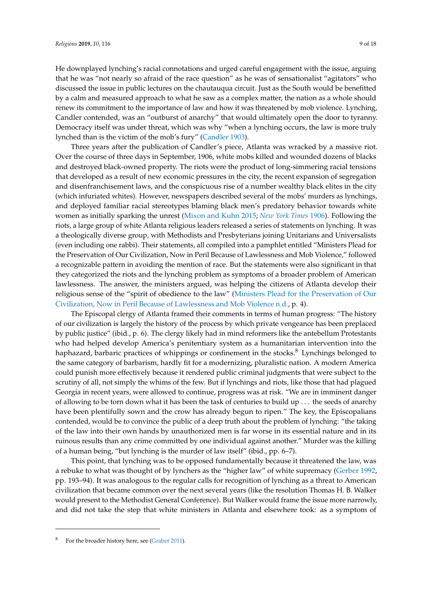He downplayed lynching's racial connotations and urged careful engagement with the issue, arguing that he was "not nearly so afraid of the race question" as he was of sensationalist "agitators" who discussed the issue in public lectures on the chautauqua circuit. Just as the South would be benefitted by a calm and measured approach to what he saw as a complex matter, the nation as a whole should renew its commitment to the importance of law and how it was threatened by mob violence. Lynching, Candler contended, was an "outburst of anarchy" that would ultimately open the door to tyranny. Democracy itself was under threat, which was why "when a lynching occurs, the law is more truly lynched than is the victim of the mob's fury" [\(Candler](#page-15-15) [1903\)](#page-15-15).

Three years after the publication of Candler's piece, Atlanta was wracked by a massive riot. Over the course of three days in September, 1906, white mobs killed and wounded dozens of blacks and destroyed black-owned property. The riots were the product of long-simmering racial tensions that developed as a result of new economic pressures in the city, the recent expansion of segregation and disenfranchisement laws, and the conspicuous rise of a number wealthy black elites in the city (which infuriated whites). However, newspapers described several of the mobs' murders as lynchings, and deployed familiar racial stereotypes blaming black men's predatory behavior towards white women as initially sparking the unrest [\(Mixon and Kuhn](#page-16-17) [2015;](#page-16-17) *[New York Times](#page-16-18)* [1906\)](#page-16-18). Following the riots, a large group of white Atlanta religious leaders released a series of statements on lynching. It was a theologically diverse group, with Methodists and Presbyterians joining Unitarians and Universalists (even including one rabbi). Their statements, all compiled into a pamphlet entitled "Ministers Plead for the Preservation of Our Civilization, Now in Peril Because of Lawlessness and Mob Violence," followed a recognizable pattern in avoiding the mention of race. But the statements were also significant in that they categorized the riots and the lynching problem as symptoms of a broader problem of American lawlessness. The answer, the ministers argued, was helping the citizens of Atlanta develop their religious sense of the "spirit of obedience to the law" [\(Ministers Plead for the Preservation of Our](#page-16-19) [Civilization, Now in Peril Because of Lawlessness and Mob Violence](#page-16-19) [n.d.,](#page-16-19) p. 4).

The Episcopal clergy of Atlanta framed their comments in terms of human progress: "The history of our civilization is largely the history of the process by which private vengeance has been preplaced by public justice" (ibid., p. 6). The clergy likely had in mind reformers like the antebellum Protestants who had helped develop America's penitentiary system as a humanitarian intervention into the haphazard, barbaric practices of whippings or confinement in the stocks.<sup>8</sup> Lynchings belonged to the same category of barbarism, hardly fit for a modernizing, pluralistic nation. A modern America could punish more effectively because it rendered public criminal judgments that were subject to the scrutiny of all, not simply the whims of the few. But if lynchings and riots, like those that had plagued Georgia in recent years, were allowed to continue, progress was at risk. "We are in imminent danger of allowing to be torn down what it has been the task of centuries to build up . . . the seeds of anarchy have been plentifully sown and the crow has already begun to ripen." The key, the Episcopalians contended, would be to convince the public of a deep truth about the problem of lynching: "the taking of the law into their own hands by unauthorized men is far worse in its essential nature and in its ruinous results than any crime committed by one individual against another." Murder was the killing of a human being, "but lynching is the murder of law itself" (ibid., pp. 6–7).

This point, that lynching was to be opposed fundamentally because it threatened the law, was a rebuke to what was thought of by lynchers as the "higher law" of white supremacy [\(Gerber](#page-15-16) [1992,](#page-15-16) pp. 193–94). It was analogous to the regular calls for recognition of lynching as a threat to American civilization that became common over the next several years (like the resolution Thomas H. B. Walker would present to the Methodist General Conference). But Walker would frame the issue more narrowly, and did not take the step that white ministers in Atlanta and elsewhere took: as a symptom of

For the broader history here, see [\(Graber](#page-15-17) [2011\)](#page-15-17).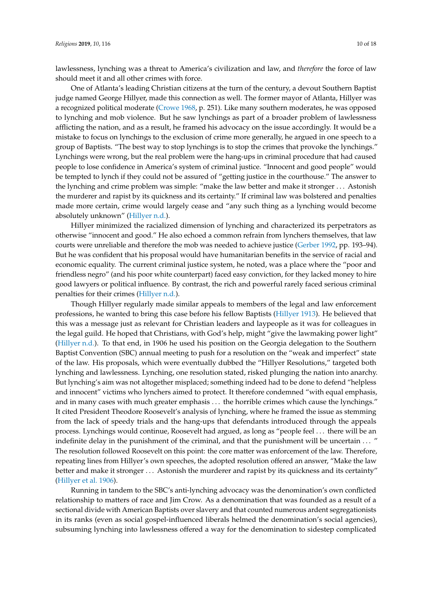lawlessness, lynching was a threat to America's civilization and law, and *therefore* the force of law should meet it and all other crimes with force.

One of Atlanta's leading Christian citizens at the turn of the century, a devout Southern Baptist judge named George Hillyer, made this connection as well. The former mayor of Atlanta, Hillyer was a recognized political moderate [\(Crowe](#page-15-18) [1968,](#page-15-18) p. 251). Like many southern moderates, he was opposed to lynching and mob violence. But he saw lynchings as part of a broader problem of lawlessness afflicting the nation, and as a result, he framed his advocacy on the issue accordingly. It would be a mistake to focus on lynchings to the exclusion of crime more generally, he argued in one speech to a group of Baptists. "The best way to stop lynchings is to stop the crimes that provoke the lynchings." Lynchings were wrong, but the real problem were the hang-ups in criminal procedure that had caused people to lose confidence in America's system of criminal justice. "Innocent and good people" would be tempted to lynch if they could not be assured of "getting justice in the courthouse." The answer to the lynching and crime problem was simple: "make the law better and make it stronger . . . Astonish the murderer and rapist by its quickness and its certainty." If criminal law was bolstered and penalties made more certain, crime would largely cease and "any such thing as a lynching would become absolutely unknown" [\(Hillyer](#page-16-20) [n.d.\)](#page-16-20).

Hillyer minimized the racialized dimension of lynching and characterized its perpetrators as otherwise "innocent and good." He also echoed a common refrain from lynchers themselves, that law courts were unreliable and therefore the mob was needed to achieve justice [\(Gerber](#page-15-16) [1992,](#page-15-16) pp. 193–94). But he was confident that his proposal would have humanitarian benefits in the service of racial and economic equality. The current criminal justice system, he noted, was a place where the "poor and friendless negro" (and his poor white counterpart) faced easy conviction, for they lacked money to hire good lawyers or political influence. By contrast, the rich and powerful rarely faced serious criminal penalties for their crimes [\(Hillyer](#page-16-20) [n.d.\)](#page-16-20).

Though Hillyer regularly made similar appeals to members of the legal and law enforcement professions, he wanted to bring this case before his fellow Baptists [\(Hillyer](#page-16-21) [1913\)](#page-16-21). He believed that this was a message just as relevant for Christian leaders and laypeople as it was for colleagues in the legal guild. He hoped that Christians, with God's help, might "give the lawmaking power light" [\(Hillyer](#page-16-20) [n.d.\)](#page-16-20). To that end, in 1906 he used his position on the Georgia delegation to the Southern Baptist Convention (SBC) annual meeting to push for a resolution on the "weak and imperfect" state of the law. His proposals, which were eventually dubbed the "Hillyer Resolutions," targeted both lynching and lawlessness. Lynching, one resolution stated, risked plunging the nation into anarchy. But lynching's aim was not altogether misplaced; something indeed had to be done to defend "helpless and innocent" victims who lynchers aimed to protect. It therefore condemned "with equal emphasis, and in many cases with much greater emphasis . . . the horrible crimes which cause the lynchings." It cited President Theodore Roosevelt's analysis of lynching, where he framed the issue as stemming from the lack of speedy trials and the hang-ups that defendants introduced through the appeals process. Lynchings would continue, Roosevelt had argued, as long as "people feel . . . there will be an indefinite delay in the punishment of the criminal, and that the punishment will be uncertain . . . " The resolution followed Roosevelt on this point: the core matter was enforcement of the law. Therefore, repeating lines from Hillyer's own speeches, the adopted resolution offered an answer, "Make the law better and make it stronger . . . Astonish the murderer and rapist by its quickness and its certainty" [\(Hillyer et al.](#page-16-22) [1906\)](#page-16-22).

Running in tandem to the SBC's anti-lynching advocacy was the denomination's own conflicted relationship to matters of race and Jim Crow. As a denomination that was founded as a result of a sectional divide with American Baptists over slavery and that counted numerous ardent segregationists in its ranks (even as social gospel-influenced liberals helmed the denomination's social agencies), subsuming lynching into lawlessness offered a way for the denomination to sidestep complicated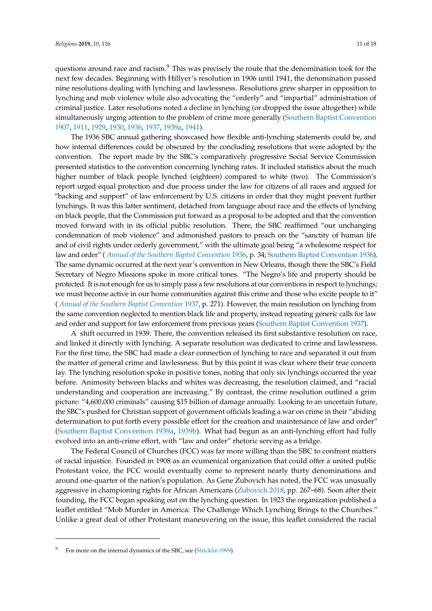questions around race and racism.<sup>9</sup> This was precisely the route that the denomination took for the next few decades. Beginning with Hillyer's resolution in 1906 until 1941, the denomination passed nine resolutions dealing with lynching and lawlessness. Resolutions grew sharper in opposition to lynching and mob violence while also advocating the "orderly" and "impartial" administration of criminal justice. Later resolutions noted a decline in lynching (or dropped the issue altogether) while simultaneously urging attention to the problem of crime more generally [\(Southern Baptist Convention](#page-17-5) [1907,](#page-17-5) [1911,](#page-17-6) [1929,](#page-17-7) [1930,](#page-17-8) [1936,](#page-17-9) [1937,](#page-17-10) [1939a,](#page-17-11) [1941\)](#page-17-12).

The 1936 SBC annual gathering showcased how flexible anti-lynching statements could be, and how internal differences could be obscured by the concluding resolutions that were adopted by the convention. The report made by the SBC's comparatively progressive Social Service Commission presented statistics to the convention concerning lynching rates. It included statistics about the much higher number of black people lynched (eighteen) compared to white (two). The Commission's report urged equal protection and due process under the law for citizens of all races and argued for "backing and support" of law enforcement by U.S. citizens in order that they might prevent further lynchings. It was this latter sentiment, detached from language about race and the effects of lynching on black people, that the Commission put forward as a proposal to be adopted and that the convention moved forward with in its official public resolution. There, the SBC reaffirmed "our unchanging condemnation of mob violence" and admonished pastors to preach on the "sanctity of human life and of civil rights under orderly government," with the ultimate goal being "a wholesome respect for law and order" ( *[Annual of the Southern Baptist Convention](#page-14-4)* [1936,](#page-14-4) p. 34; [Southern Baptist Convention](#page-17-9) [1936\)](#page-17-9). The same dynamic occurred at the next year's convention in New Orleans, though there the SBC's Field Secretary of Negro Missions spoke in more critical tones. "The Negro's life and property should be protected. It is not enough for us to simply pass a few resolutions at our conventions in respect to lynchings; we must become active in our home communities against this crime and those who excite people to it" ( *[Annual of the Southern Baptist Convention](#page-14-5)* [1937,](#page-14-5) p. 271). However, the main resolution on lynching from the same convention neglected to mention black life and property, instead repeating generic calls for law and order and support for law enforcement from previous years [\(Southern Baptist Convention](#page-17-10) [1937\)](#page-17-10).

A shift occurred in 1939. There, the convention released its first substantive resolution on race, and linked it directly with lynching. A separate resolution was dedicated to crime and lawlessness. For the first time, the SBC had made a clear connection of lynching to race and separated it out from the matter of general crime and lawlessness. But by this point it was clear where their true concern lay. The lynching resolution spoke in positive tones, noting that only six lynchings occurred the year before. Animosity between blacks and whites was decreasing, the resolution claimed, and "racial understanding and cooperation are increasing." By contrast, the crime resolution outlined a grim picture: "4,600,000 criminals" causing \$15 billion of damage annually. Looking to an uncertain future, the SBC's pushed for Christian support of government officials leading a war on crime in their "abiding determination to put forth every possible effort for the creation and maintenance of law and order" [\(Southern Baptist Convention](#page-17-11) [1939a,](#page-17-11) [1939b\)](#page-17-13). What had begun as an anti-lynching effort had fully evolved into an anti-crime effort, with "law and order" rhetoric serving as a bridge.

The Federal Council of Churches (FCC) was far more willing than the SBC to confront matters of racial injustice. Founded in 1908 as an ecumenical organization that could offer a united public Protestant voice, the FCC would eventually come to represent nearly thirty denominations and around one-quarter of the nation's population. As Gene Zubovich has noted, the FCC was unusually aggressive in championing rights for African Americans [\(Zubovich](#page-17-14) [2018,](#page-17-14) pp. 267–68). Soon after their founding, the FCC began speaking out on the lynching question. In 1923 the organization published a leaflet entitled "Mob Murder in America: The Challenge Which Lynching Brings to the Churches." Unlike a great deal of other Protestant maneuvering on the issue, this leaflet considered the racial

<sup>9</sup> For more on the internal dynamics of the SBC, see [\(Stricklin](#page-17-15) [1999\)](#page-17-15).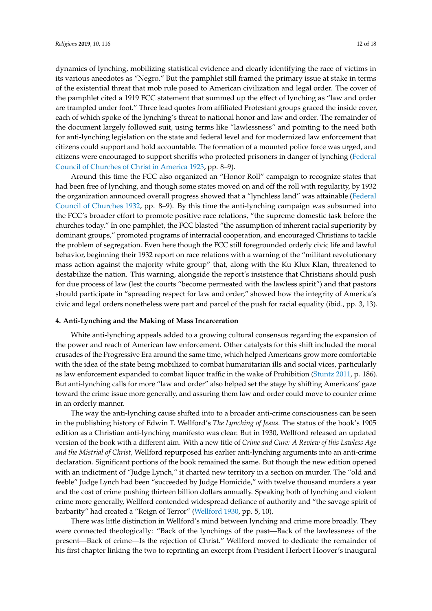dynamics of lynching, mobilizing statistical evidence and clearly identifying the race of victims in its various anecdotes as "Negro." But the pamphlet still framed the primary issue at stake in terms of the existential threat that mob rule posed to American civilization and legal order. The cover of the pamphlet cited a 1919 FCC statement that summed up the effect of lynching as "law and order are trampled under foot." Three lead quotes from affiliated Protestant groups graced the inside cover, each of which spoke of the lynching's threat to national honor and law and order. The remainder of the document largely followed suit, using terms like "lawlessness" and pointing to the need both for anti-lynching legislation on the state and federal level and for modernized law enforcement that citizens could support and hold accountable. The formation of a mounted police force was urged, and citizens were encouraged to support sheriffs who protected prisoners in danger of lynching [\(Federal](#page-15-19) [Council of Churches of Christ in America](#page-15-19) [1923,](#page-15-19) pp. 8–9).

Around this time the FCC also organized an "Honor Roll" campaign to recognize states that had been free of lynching, and though some states moved on and off the roll with regularity, by 1932 the organization announced overall progress showed that a "lynchless land" was attainable [\(Federal](#page-15-20) [Council of Churches](#page-15-20) [1932,](#page-15-20) pp. 8–9). By this time the anti-lynching campaign was subsumed into the FCC's broader effort to promote positive race relations, "the supreme domestic task before the churches today." In one pamphlet, the FCC blasted "the assumption of inherent racial superiority by dominant groups," promoted programs of interracial cooperation, and encouraged Christians to tackle the problem of segregation. Even here though the FCC still foregrounded orderly civic life and lawful behavior, beginning their 1932 report on race relations with a warning of the "militant revolutionary mass action against the majority white group" that, along with the Ku Klux Klan, threatened to destabilize the nation. This warning, alongside the report's insistence that Christians should push for due process of law (lest the courts "become permeated with the lawless spirit") and that pastors should participate in "spreading respect for law and order," showed how the integrity of America's civic and legal orders nonetheless were part and parcel of the push for racial equality (ibid., pp. 3, 13).

# **4. Anti-Lynching and the Making of Mass Incarceration**

White anti-lynching appeals added to a growing cultural consensus regarding the expansion of the power and reach of American law enforcement. Other catalysts for this shift included the moral crusades of the Progressive Era around the same time, which helped Americans grow more comfortable with the idea of the state being mobilized to combat humanitarian ills and social vices, particularly as law enforcement expanded to combat liquor traffic in the wake of Prohibition [\(Stuntz](#page-17-16) [2011,](#page-17-16) p. 186). But anti-lynching calls for more "law and order" also helped set the stage by shifting Americans' gaze toward the crime issue more generally, and assuring them law and order could move to counter crime in an orderly manner.

The way the anti-lynching cause shifted into to a broader anti-crime consciousness can be seen in the publishing history of Edwin T. Wellford's *The Lynching of Jesus*. The status of the book's 1905 edition as a Christian anti-lynching manifesto was clear. But in 1930, Wellford released an updated version of the book with a different aim. With a new title of *Crime and Cure: A Review of this Lawless Age and the Mistrial of Christ,* Wellford repurposed his earlier anti-lynching arguments into an anti-crime declaration. Significant portions of the book remained the same. But though the new edition opened with an indictment of "Judge Lynch," it charted new territory in a section on murder. The "old and feeble" Judge Lynch had been "succeeded by Judge Homicide," with twelve thousand murders a year and the cost of crime pushing thirteen billion dollars annually. Speaking both of lynching and violent crime more generally, Wellford contended widespread defiance of authority and "the savage spirit of barbarity" had created a "Reign of Terror" [\(Wellford](#page-17-17) [1930,](#page-17-17) pp. 5, 10).

There was little distinction in Wellford's mind between lynching and crime more broadly. They were connected theologically: "Back of the lynchings of the past—Back of the lawlessness of the present—Back of crime—Is the rejection of Christ." Wellford moved to dedicate the remainder of his first chapter linking the two to reprinting an excerpt from President Herbert Hoover's inaugural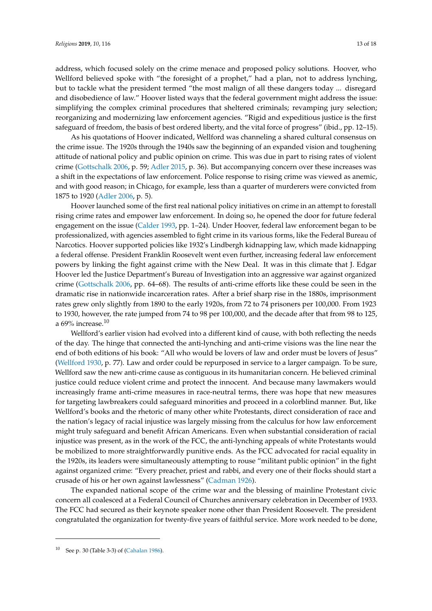address, which focused solely on the crime menace and proposed policy solutions. Hoover, who Wellford believed spoke with "the foresight of a prophet," had a plan, not to address lynching, but to tackle what the president termed "the most malign of all these dangers today ... disregard and disobedience of law." Hoover listed ways that the federal government might address the issue: simplifying the complex criminal procedures that sheltered criminals; revamping jury selection; reorganizing and modernizing law enforcement agencies. "Rigid and expeditious justice is the first safeguard of freedom, the basis of best ordered liberty, and the vital force of progress" (ibid., pp. 12–15).

As his quotations of Hoover indicated, Wellford was channeling a shared cultural consensus on the crime issue. The 1920s through the 1940s saw the beginning of an expanded vision and toughening attitude of national policy and public opinion on crime. This was due in part to rising rates of violent crime [\(Gottschalk](#page-15-5) [2006,](#page-15-5) p. 59; [Adler](#page-14-6) [2015,](#page-14-6) p. 36). But accompanying concern over these increases was a shift in the expectations of law enforcement. Police response to rising crime was viewed as anemic, and with good reason; in Chicago, for example, less than a quarter of murderers were convicted from 1875 to 1920 [\(Adler](#page-14-7) [2006,](#page-14-7) p. 5).

Hoover launched some of the first real national policy initiatives on crime in an attempt to forestall rising crime rates and empower law enforcement. In doing so, he opened the door for future federal engagement on the issue [\(Calder](#page-15-21) [1993,](#page-15-21) pp. 1–24). Under Hoover, federal law enforcement began to be professionalized, with agencies assembled to fight crime in its various forms, like the Federal Bureau of Narcotics. Hoover supported policies like 1932's Lindbergh kidnapping law, which made kidnapping a federal offense. President Franklin Roosevelt went even further, increasing federal law enforcement powers by linking the fight against crime with the New Deal. It was in this climate that J. Edgar Hoover led the Justice Department's Bureau of Investigation into an aggressive war against organized crime [\(Gottschalk](#page-15-5) [2006,](#page-15-5) pp. 64–68). The results of anti-crime efforts like these could be seen in the dramatic rise in nationwide incarceration rates. After a brief sharp rise in the 1880s, imprisonment rates grew only slightly from 1890 to the early 1920s, from 72 to 74 prisoners per 100,000. From 1923 to 1930, however, the rate jumped from 74 to 98 per 100,000, and the decade after that from 98 to 125, a 69% increase. $10$ 

Wellford's earlier vision had evolved into a different kind of cause, with both reflecting the needs of the day. The hinge that connected the anti-lynching and anti-crime visions was the line near the end of both editions of his book: "All who would be lovers of law and order must be lovers of Jesus" [\(Wellford](#page-17-17) [1930,](#page-17-17) p. 77). Law and order could be repurposed in service to a larger campaign. To be sure, Wellford saw the new anti-crime cause as contiguous in its humanitarian concern. He believed criminal justice could reduce violent crime and protect the innocent. And because many lawmakers would increasingly frame anti-crime measures in race-neutral terms, there was hope that new measures for targeting lawbreakers could safeguard minorities and proceed in a colorblind manner. But, like Wellford's books and the rhetoric of many other white Protestants, direct consideration of race and the nation's legacy of racial injustice was largely missing from the calculus for how law enforcement might truly safeguard and benefit African Americans. Even when substantial consideration of racial injustice was present, as in the work of the FCC, the anti-lynching appeals of white Protestants would be mobilized to more straightforwardly punitive ends. As the FCC advocated for racial equality in the 1920s, its leaders were simultaneously attempting to rouse "militant public opinion" in the fight against organized crime: "Every preacher, priest and rabbi, and every one of their flocks should start a crusade of his or her own against lawlessness" [\(Cadman](#page-15-22) [1926\)](#page-15-22).

The expanded national scope of the crime war and the blessing of mainline Protestant civic concern all coalesced at a Federal Council of Churches anniversary celebration in December of 1933. The FCC had secured as their keynote speaker none other than President Roosevelt. The president congratulated the organization for twenty-five years of faithful service. More work needed to be done,

<sup>10</sup> See p. 30 (Table 3-3) of [\(Cahalan](#page-15-23) [1986\)](#page-15-23).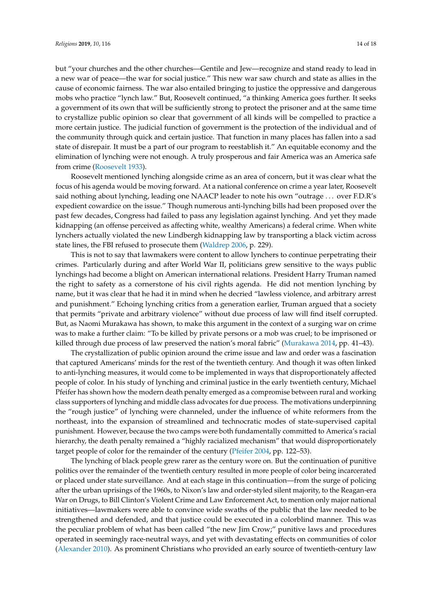but "your churches and the other churches—Gentile and Jew—recognize and stand ready to lead in a new war of peace—the war for social justice." This new war saw church and state as allies in the cause of economic fairness. The war also entailed bringing to justice the oppressive and dangerous mobs who practice "lynch law." But, Roosevelt continued, "a thinking America goes further. It seeks a government of its own that will be sufficiently strong to protect the prisoner and at the same time to crystallize public opinion so clear that government of all kinds will be compelled to practice a more certain justice. The judicial function of government is the protection of the individual and of the community through quick and certain justice. That function in many places has fallen into a sad state of disrepair. It must be a part of our program to reestablish it." An equitable economy and the elimination of lynching were not enough. A truly prosperous and fair America was an America safe from crime [\(Roosevelt](#page-16-23) [1933\)](#page-16-23).

Roosevelt mentioned lynching alongside crime as an area of concern, but it was clear what the focus of his agenda would be moving forward. At a national conference on crime a year later, Roosevelt said nothing about lynching, leading one NAACP leader to note his own "outrage . . . over F.D.R's expedient cowardice on the issue." Though numerous anti-lynching bills had been proposed over the past few decades, Congress had failed to pass any legislation against lynching. And yet they made kidnapping (an offense perceived as affecting white, wealthy Americans) a federal crime. When white lynchers actually violated the new Lindbergh kidnapping law by transporting a black victim across state lines, the FBI refused to prosecute them [\(Waldrep](#page-17-18) [2006,](#page-17-18) p. 229).

This is not to say that lawmakers were content to allow lynchers to continue perpetrating their crimes. Particularly during and after World War II, politicians grew sensitive to the ways public lynchings had become a blight on American international relations. President Harry Truman named the right to safety as a cornerstone of his civil rights agenda. He did not mention lynching by name, but it was clear that he had it in mind when he decried "lawless violence, and arbitrary arrest and punishment." Echoing lynching critics from a generation earlier, Truman argued that a society that permits "private and arbitrary violence" without due process of law will find itself corrupted. But, as Naomi Murakawa has shown, to make this argument in the context of a surging war on crime was to make a further claim: "To be killed by private persons or a mob was cruel; to be imprisoned or killed through due process of law preserved the nation's moral fabric" [\(Murakawa](#page-16-4) [2014,](#page-16-4) pp. 41–43).

The crystallization of public opinion around the crime issue and law and order was a fascination that captured Americans' minds for the rest of the twentieth century. And though it was often linked to anti-lynching measures, it would come to be implemented in ways that disproportionately affected people of color. In his study of lynching and criminal justice in the early twentieth century, Michael Pfeifer has shown how the modern death penalty emerged as a compromise between rural and working class supporters of lynching and middle class advocates for due process. The motivations underpinning the "rough justice" of lynching were channeled, under the influence of white reformers from the northeast, into the expansion of streamlined and technocratic modes of state-supervised capital punishment. However, because the two camps were both fundamentally committed to America's racial hierarchy, the death penalty remained a "highly racialized mechanism" that would disproportionately target people of color for the remainder of the century [\(Pfeifer](#page-16-0) [2004,](#page-16-0) pp. 122–53).

The lynching of black people grew rarer as the century wore on. But the continuation of punitive politics over the remainder of the twentieth century resulted in more people of color being incarcerated or placed under state surveillance. And at each stage in this continuation—from the surge of policing after the urban uprisings of the 1960s, to Nixon's law and order-styled silent majority, to the Reagan-era War on Drugs, to Bill Clinton's Violent Crime and Law Enforcement Act, to mention only major national initiatives—lawmakers were able to convince wide swaths of the public that the law needed to be strengthened and defended, and that justice could be executed in a colorblind manner. This was the peculiar problem of what has been called "the new Jim Crow;" punitive laws and procedures operated in seemingly race-neutral ways, and yet with devastating effects on communities of color [\(Alexander](#page-14-8) [2010\)](#page-14-8). As prominent Christians who provided an early source of twentieth-century law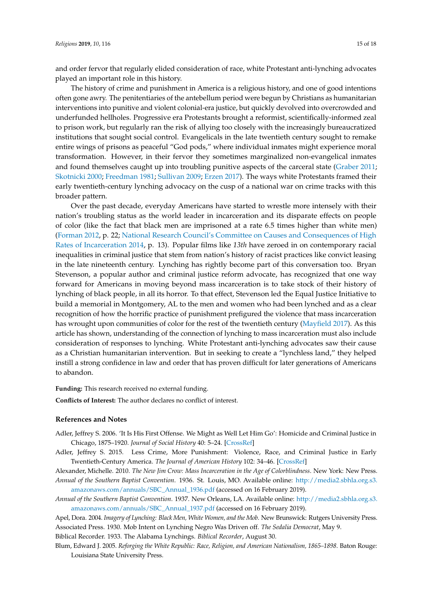and order fervor that regularly elided consideration of race, white Protestant anti-lynching advocates played an important role in this history.

The history of crime and punishment in America is a religious history, and one of good intentions often gone awry. The penitentiaries of the antebellum period were begun by Christians as humanitarian interventions into punitive and violent colonial-era justice, but quickly devolved into overcrowded and underfunded hellholes. Progressive era Protestants brought a reformist, scientifically-informed zeal to prison work, but regularly ran the risk of allying too closely with the increasingly bureaucratized institutions that sought social control. Evangelicals in the late twentieth century sought to remake entire wings of prisons as peaceful "God pods," where individual inmates might experience moral transformation. However, in their fervor they sometimes marginalized non-evangelical inmates and found themselves caught up into troubling punitive aspects of the carceral state [\(Graber](#page-15-17) [2011;](#page-15-17) [Skotnicki](#page-17-19) [2000;](#page-17-19) [Freedman](#page-15-24) [1981;](#page-15-24) [Sullivan](#page-17-20) [2009;](#page-17-20) [Erzen](#page-15-25) [2017\)](#page-15-25). The ways white Protestants framed their early twentieth-century lynching advocacy on the cusp of a national war on crime tracks with this broader pattern.

Over the past decade, everyday Americans have started to wrestle more intensely with their nation's troubling status as the world leader in incarceration and its disparate effects on people of color (like the fact that black men are imprisoned at a rate 6.5 times higher than white men) [\(Forman](#page-15-26) [2012,](#page-15-26) p. 22; [National Research Council's Committee on Causes and Consequences of High](#page-16-24) [Rates of Incarceration](#page-16-24) [2014,](#page-16-24) p. 13). Popular films like *13th* have zeroed in on contemporary racial inequalities in criminal justice that stem from nation's history of racist practices like convict leasing in the late nineteenth century. Lynching has rightly become part of this conversation too. Bryan Stevenson, a popular author and criminal justice reform advocate, has recognized that one way forward for Americans in moving beyond mass incarceration is to take stock of their history of lynching of black people, in all its horror. To that effect, Stevenson led the Equal Justice Initiative to build a memorial in Montgomery, AL to the men and women who had been lynched and as a clear recognition of how the horrific practice of punishment prefigured the violence that mass incarceration has wrought upon communities of color for the rest of the twentieth century [\(Mayfield](#page-16-25) [2017\)](#page-16-25). As this article has shown, understanding of the connection of lynching to mass incarceration must also include consideration of responses to lynching. White Protestant anti-lynching advocates saw their cause as a Christian humanitarian intervention. But in seeking to create a "lynchless land," they helped instill a strong confidence in law and order that has proven difficult for later generations of Americans to abandon.

**Funding:** This research received no external funding.

**Conflicts of Interest:** The author declares no conflict of interest.

#### **References and Notes**

- <span id="page-14-7"></span>Adler, Jeffrey S. 2006. 'It Is His First Offense. We Might as Well Let Him Go': Homicide and Criminal Justice in Chicago, 1875–1920. *Journal of Social History* 40: 5–24. [\[CrossRef\]](http://dx.doi.org/10.1353/jsh.2006.0067)
- <span id="page-14-6"></span>Adler, Jeffrey S. 2015. Less Crime, More Punishment: Violence, Race, and Criminal Justice in Early Twentieth-Century America. *The Journal of American History* 102: 34–46. [\[CrossRef\]](http://dx.doi.org/10.1093/jahist/jav173)

<span id="page-14-8"></span><span id="page-14-4"></span>Alexander, Michelle. 2010. *The New Jim Crow: Mass Incarceration in the Age of Colorblindness*. New York: New Press. *Annual of the Southern Baptist Convention*. 1936. St. Louis, MO. Available online: [http://media2.sbhla.org.s3.](http://media2.sbhla.org.s3.amazonaws.com/annuals/SBC_Annual_1936.pdf) [amazonaws.com/annuals/SBC\\_Annual\\_1936.pdf](http://media2.sbhla.org.s3.amazonaws.com/annuals/SBC_Annual_1936.pdf) (accessed on 16 February 2019).

<span id="page-14-5"></span>*Annual of the Southern Baptist Convention*. 1937. New Orleans, LA. Available online: [http://media2.sbhla.org.s3.](http://media2.sbhla.org.s3.amazonaws.com/annuals/SBC_Annual_1937.pdf) [amazonaws.com/annuals/SBC\\_Annual\\_1937.pdf](http://media2.sbhla.org.s3.amazonaws.com/annuals/SBC_Annual_1937.pdf) (accessed on 16 February 2019).

<span id="page-14-3"></span><span id="page-14-2"></span>Apel, Dora. 2004. *Imagery of Lynching: Black Men, White Women, and the Mob*. New Brunswick: Rutgers University Press. Associated Press. 1930. Mob Intent on Lynching Negro Was Driven off. *The Sedalia Democrat*, May 9.

<span id="page-14-0"></span>Biblical Recorder. 1933. The Alabama Lynchings. *Biblical Recorder*, August 30.

<span id="page-14-1"></span>Blum, Edward J. 2005. *Reforging the White Republic: Race, Religion, and American Nationalism, 1865–1898*. Baton Rouge: Louisiana State University Press.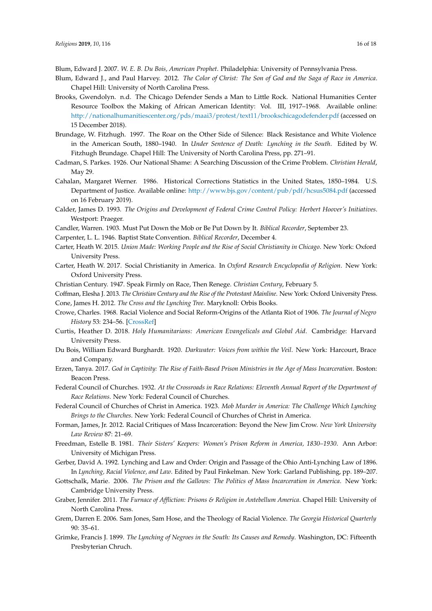<span id="page-15-8"></span>Blum, Edward J. 2007. *W. E. B. Du Bois, American Prophet*. Philadelphia: University of Pennsylvania Press.

- <span id="page-15-9"></span>Blum, Edward J., and Paul Harvey. 2012. *The Color of Christ: The Son of God and the Saga of Race in America*. Chapel Hill: University of North Carolina Press.
- <span id="page-15-10"></span>Brooks, Gwendolyn. n.d. The Chicago Defender Sends a Man to Little Rock. National Humanities Center Resource Toolbox the Making of African American Identity: Vol. III, 1917–1968. Available online: <http://nationalhumanitiescenter.org/pds/maai3/protest/text11/brookschicagodefender.pdf> (accessed on 15 December 2018).
- <span id="page-15-6"></span>Brundage, W. Fitzhugh. 1997. The Roar on the Other Side of Silence: Black Resistance and White Violence in the American South, 1880–1940. In *Under Sentence of Death: Lynching in the South*. Edited by W. Fitzhugh Brundage. Chapel Hill: The University of North Carolina Press, pp. 271–91.
- <span id="page-15-22"></span>Cadman, S. Parkes. 1926. Our National Shame: A Searching Discussion of the Crime Problem. *Christian Herald*, May 29.
- <span id="page-15-23"></span>Cahalan, Margaret Werner. 1986. Historical Corrections Statistics in the United States, 1850–1984. U.S. Department of Justice. Available online: <http://www.bjs.gov/content/pub/pdf/hcsus5084.pdf> (accessed on 16 February 2019).
- <span id="page-15-21"></span>Calder, James D. 1993. *The Origins and Development of Federal Crime Control Policy: Herbert Hoover's Initiatives*. Westport: Praeger.
- <span id="page-15-15"></span>Candler, Warren. 1903. Must Put Down the Mob or Be Put Down by It. *Biblical Recorder*, September 23.
- <span id="page-15-14"></span>Carpenter, L. L. 1946. Baptist State Convention. *Biblical Recorder*, December 4.
- <span id="page-15-0"></span>Carter, Heath W. 2015. *Union Made: Working People and the Rise of Social Christianity in Chicago*. New York: Oxford University Press.
- <span id="page-15-1"></span>Carter, Heath W. 2017. Social Christianity in America. In *Oxford Research Encyclopedia of Religion*. New York: Oxford University Press.
- <span id="page-15-13"></span>Christian Century. 1947. Speak Firmly on Race, Then Renege. *Christian Century*, February 5.

<span id="page-15-3"></span><span id="page-15-2"></span>Coffman, Elesha J. 2013. *The Christian Century and the Rise of the Protestant Mainline*. New York: Oxford University Press. Cone, James H. 2012. *The Cross and the Lynching Tree*. Maryknoll: Orbis Books.

- <span id="page-15-18"></span>Crowe, Charles. 1968. Racial Violence and Social Reform-Origins of the Atlanta Riot of 1906. *The Journal of Negro History* 53: 234–56. [\[CrossRef\]](http://dx.doi.org/10.2307/2716218)
- <span id="page-15-4"></span>Curtis, Heather D. 2018. *Holy Humanitarians: American Evangelicals and Global Aid*. Cambridge: Harvard University Press.
- <span id="page-15-7"></span>Du Bois, William Edward Burghardt. 1920. *Darkwater: Voices from within the Veil*. New York: Harcourt, Brace and Company.
- <span id="page-15-25"></span>Erzen, Tanya. 2017. *God in Captivity: The Rise of Faith-Based Prison Ministries in the Age of Mass Incarceration*. Boston: Beacon Press.
- <span id="page-15-20"></span>Federal Council of Churches. 1932. *At the Crossroads in Race Relations: Eleventh Annual Report of the Department of Race Relations*. New York: Federal Council of Churches.
- <span id="page-15-19"></span>Federal Council of Churches of Christ in America. 1923. *Mob Murder in America: The Challenge Which Lynching Brings to the Churches*. New York: Federal Council of Churches of Christ in America.
- <span id="page-15-26"></span>Forman, James, Jr. 2012. Racial Critiques of Mass Incarceration: Beyond the New Jim Crow. *New York University Law Review* 87: 21–69.
- <span id="page-15-24"></span>Freedman, Estelle B. 1981. *Their Sisters' Keepers: Women's Prison Reform in America, 1830–1930*. Ann Arbor: University of Michigan Press.
- <span id="page-15-16"></span>Gerber, David A. 1992. Lynching and Law and Order: Origin and Passage of the Ohio Anti-Lynching Law of 1896. In *Lynching, Racial Violence, and Law*. Edited by Paul Finkelman. New York: Garland Publishing, pp. 189–207.
- <span id="page-15-5"></span>Gottschalk, Marie. 2006. *The Prison and the Gallows: The Politics of Mass Incarceration in America*. New York: Cambridge University Press.
- <span id="page-15-17"></span>Graber, Jennifer. 2011. *The Furnace of Affliction: Prisons & Religion in Antebellum America*. Chapel Hill: University of North Carolina Press.
- <span id="page-15-12"></span>Grem, Darren E. 2006. Sam Jones, Sam Hose, and the Theology of Racial Violence. *The Georgia Historical Quarterly* 90: 35–61.
- <span id="page-15-11"></span>Grimke, Francis J. 1899. *The Lynching of Negroes in the South: Its Causes and Remedy*. Washington, DC: Fifteenth Presbyterian Chruch.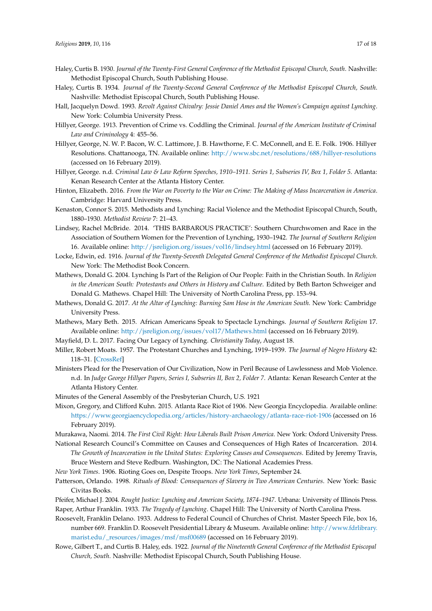- <span id="page-16-11"></span>Haley, Curtis B. 1930. *Journal of the Twenty-First General Conference of the Methodist Episcopal Church, South*. Nashville: Methodist Episcopal Church, South Publishing House.
- <span id="page-16-13"></span>Haley, Curtis B. 1934. *Journal of the Twenty-Second General Conference of the Methodist Episcopal Church, South*. Nashville: Methodist Episcopal Church, South Publishing House.
- <span id="page-16-12"></span>Hall, Jacquelyn Dowd. 1993. *Revolt Against Chivalry: Jessie Daniel Ames and the Women's Campaign against Lynching*. New York: Columbia University Press.
- <span id="page-16-21"></span>Hillyer, George. 1913. Prevention of Crime vs. Coddling the Criminal. *Journal of the American Institute of Criminal Law and Criminology* 4: 455–56.
- <span id="page-16-22"></span>Hillyer, George, N. W. P. Bacon, W. C. Lattimore, J. B. Hawthorne, F. C. McConnell, and E. E. Folk. 1906. Hillyer Resolutions. Chattanooga, TN. Available online: <http://www.sbc.net/resolutions/688/hillyer-resolutions> (accessed on 16 February 2019).
- <span id="page-16-20"></span>Hillyer, George. n.d. *Criminal Law & Law Reform Speeches, 1910–1911. Series 1, Subseries IV, Box 1, Folder 5*. Atlanta: Kenan Research Center at the Atlanta History Center.
- <span id="page-16-5"></span>Hinton, Elizabeth. 2016. *From the War on Poverty to the War on Crime: The Making of Mass Incarceration in America*. Cambridge: Harvard University Press.
- <span id="page-16-14"></span>Kenaston, Connor S. 2015. Methodists and Lynching: Racial Violence and the Methodist Episcopal Church, South, 1880–1930. *Methodist Review* 7: 21–43.
- <span id="page-16-15"></span>Lindsey, Rachel McBride. 2014. 'THIS BARBAROUS PRACTICE': Southern Churchwomen and Race in the Association of Southern Women for the Prevention of Lynching, 1930–1942. *The Journal of Southern Religion* 16. Available online: <http://jsreligion.org/issues/vol16/lindsey.html> (accessed on 16 February 2019).
- <span id="page-16-16"></span>Locke, Edwin, ed. 1916. *Journal of the Twenty-Seventh Delegated General Conference of the Methodist Episcopal Church*. New York: The Methodist Book Concern.
- <span id="page-16-7"></span>Mathews, Donald G. 2004. Lynching Is Part of the Religion of Our People: Faith in the Christian South. In *Religion in the American South: Protestants and Others in History and Culture*. Edited by Beth Barton Schweiger and Donald G. Mathews. Chapel Hill: The University of North Carolina Press, pp. 153–94.
- <span id="page-16-1"></span>Mathews, Donald G. 2017. *At the Altar of Lynching: Burning Sam Hose in the American South*. New York: Cambridge University Press.
- <span id="page-16-8"></span>Mathews, Mary Beth. 2015. African Americans Speak to Spectacle Lynchings. *Journal of Southern Religion* 17. Available online: <http://jsreligion.org/issues/vol17/Mathews.html> (accessed on 16 February 2019).
- <span id="page-16-25"></span><span id="page-16-2"></span>Mayfield, D. L. 2017. Facing Our Legacy of Lynching. *Christianity Today*, August 18.
- Miller, Robert Moats. 1957. The Protestant Churches and Lynching, 1919–1939. *The Journal of Negro History* 42: 118–31. [\[CrossRef\]](http://dx.doi.org/10.2307/2715687)
- <span id="page-16-19"></span>Ministers Plead for the Preservation of Our Civilization, Now in Peril Because of Lawlessness and Mob Violence. n.d. In *Judge George Hillyer Papers, Series I, Subseries II, Box 2, Folder 7*. Atlanta: Kenan Research Center at the Atlanta History Center.
- <span id="page-16-9"></span>Minutes of the General Assembly of the Presbyterian Church, U.S. 1921
- <span id="page-16-17"></span>Mixon, Gregory, and Clifford Kuhn. 2015. Atlanta Race Riot of 1906. New Georgia Encyclopedia. Available online: <https://www.georgiaencyclopedia.org/articles/history-archaeology/atlanta-race-riot-1906> (accessed on 16 February 2019).
- <span id="page-16-4"></span>Murakawa, Naomi. 2014. *The First Civil Right: How Liberals Built Prison America*. New York: Oxford University Press.
- <span id="page-16-24"></span>National Research Council's Committee on Causes and Consequences of High Rates of Incarceration. 2014. *The Growth of Incarceration in the United States: Exploring Causes and Consequences*. Edited by Jeremy Travis, Bruce Western and Steve Redburn. Washington, DC: The National Academies Press.
- <span id="page-16-18"></span><span id="page-16-6"></span>*New York Times*. 1906. Rioting Goes on, Despite Troops. *New York Times*, September 24.
- Patterson, Orlando. 1998. *Rituals of Blood: Consequences of Slavery in Two American Centuries*. New York: Basic Civitas Books.
- <span id="page-16-3"></span><span id="page-16-0"></span>Pfeifer, Michael J. 2004. *Rought Justice: Lynching and American Society, 1874–1947*. Urbana: University of Illinois Press. Raper, Arthur Franklin. 1933. *The Tragedy of Lynching*. Chapel Hill: The University of North Carolina Press.
- <span id="page-16-23"></span>Roosevelt, Franklin Delano. 1933. Address to Federal Council of Churches of Christ. Master Speech File, box 16, number 669. Franklin D. Roosevelt Presidential Library & Museum. Available online: [http://www.fdrlibrary.](http://www.fdrlibrary.marist.edu/_resources/images/msf/msf00689) [marist.edu/\\_resources/images/msf/msf00689](http://www.fdrlibrary.marist.edu/_resources/images/msf/msf00689) (accessed on 16 February 2019).
- <span id="page-16-10"></span>Rowe, Gilbert T., and Curtis B. Haley, eds. 1922. *Journal of the Nineteenth General Conference of the Methodist Episcopal Church, South*. Nashville: Methodist Episcopal Church, South Publishing House.